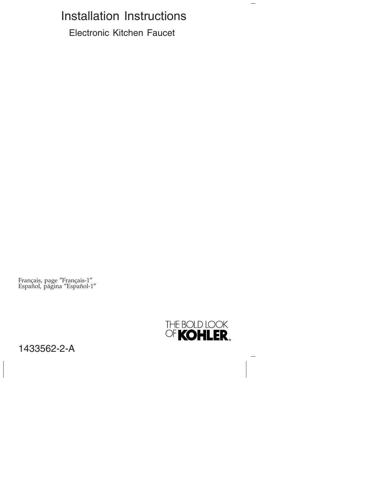# Installation Instructions

Electronic Kitchen Faucet

Français, page ″Français-1″ Español, página ″Español-1″



 $\overline{\phantom{0}}$ 

1433562-2-A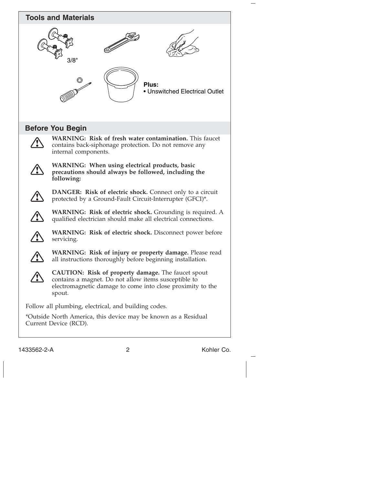

1433562-2-A 2 Kohler Co.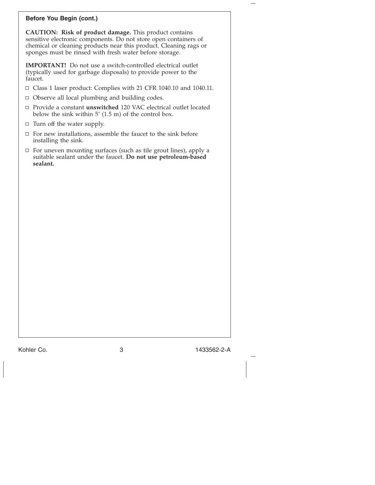#### **Before You Begin (cont.)**

**CAUTION: Risk of product damage.** This product contains sensitive electronic components. Do not store open containers of chemical or cleaning products near this product. Cleaning rags or sponges must be rinsed with fresh water before storage.

**IMPORTANT!** Do not use a switch-controlled electrical outlet (typically used for garbage disposals) to provide power to the faucet.

- Class 1 laser product: Complies with 21 CFR 1040.10 and 1040.11.
- Observe all local plumbing and building codes.
- Provide a constant **unswitched** 120 VAC electrical outlet located below the sink within 5' (1.5 m) of the control box.
- $\Box$  Turn off the water supply.
- $\Box$  For new installations, assemble the faucet to the sink before installing the sink.
- $\Box$  For uneven mounting surfaces (such as tile grout lines), apply a suitable sealant under the faucet. **Do not use petroleum-based sealant.**

Kohler Co. 3 1433562-2-A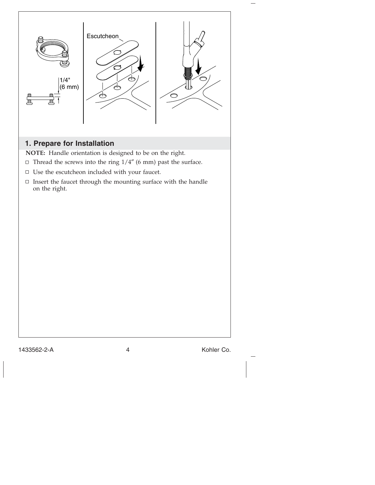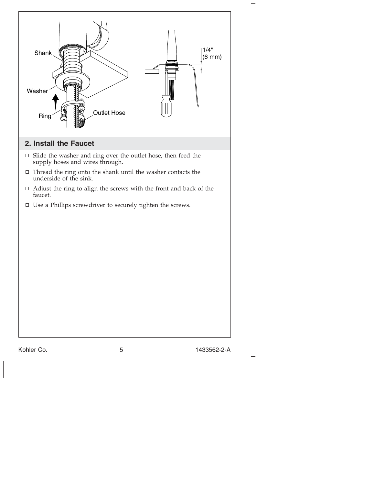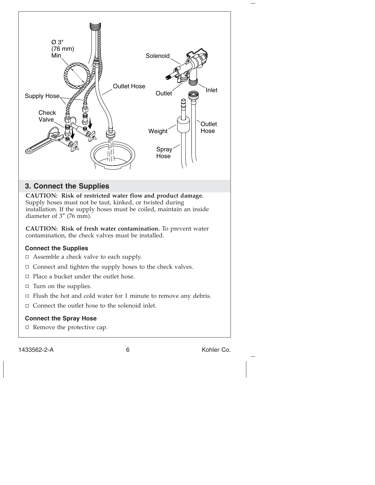

1433562-2-A 6 Kohler Co.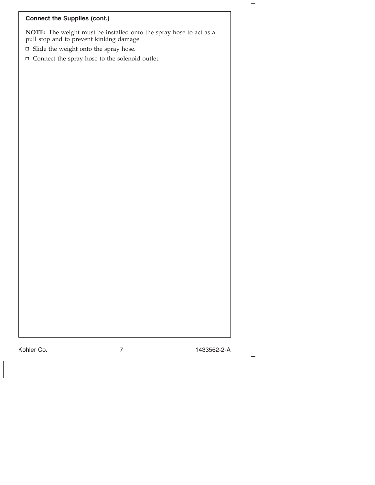| <b>Connect the Supplies (cont.)</b>                                                                            |
|----------------------------------------------------------------------------------------------------------------|
| NOTE: The weight must be installed onto the spray hose to act as a<br>pull stop and to prevent kinking damage. |
| $\Box$ Slide the weight onto the spray hose.                                                                   |
| $\Box$ Connect the spray hose to the solenoid outlet.                                                          |
|                                                                                                                |
|                                                                                                                |
|                                                                                                                |
|                                                                                                                |
|                                                                                                                |
|                                                                                                                |
|                                                                                                                |
|                                                                                                                |
|                                                                                                                |
|                                                                                                                |
|                                                                                                                |
|                                                                                                                |
|                                                                                                                |
|                                                                                                                |
|                                                                                                                |
|                                                                                                                |
|                                                                                                                |
|                                                                                                                |
|                                                                                                                |
|                                                                                                                |
|                                                                                                                |
|                                                                                                                |
|                                                                                                                |

Kohler Co. 7 1433562-2-A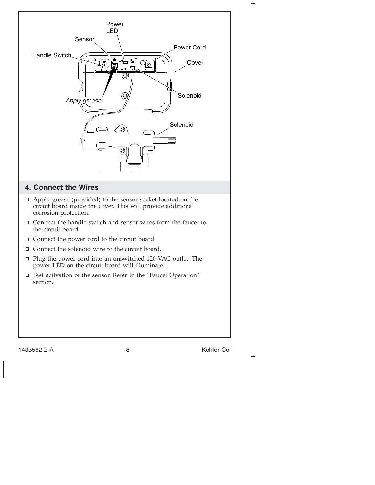

1433562-2-A 8 Kohler Co.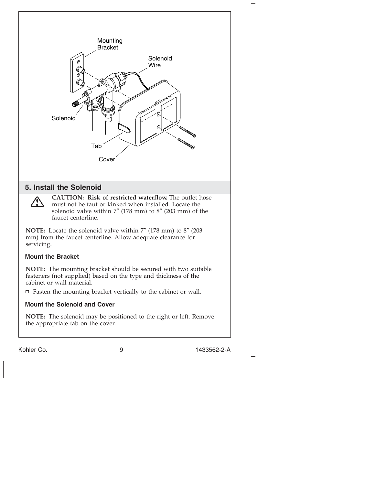

Kohler Co. 9 1433562-2-A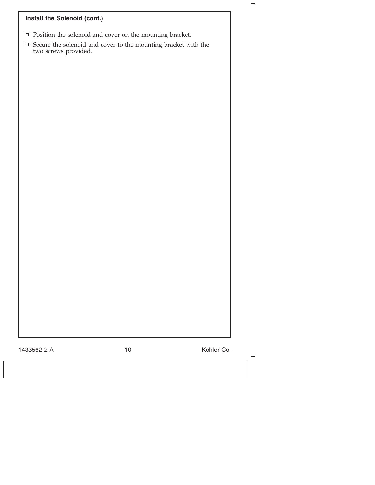## **Install the Solenoid (cont.)**

- $\hfill\Box$  <br> <br> Position the solenoid and cover on the mounting bracket.
- Secure the solenoid and cover to the mounting bracket with the two screws provided.

1433562-2-A 10 10 Kohler Co.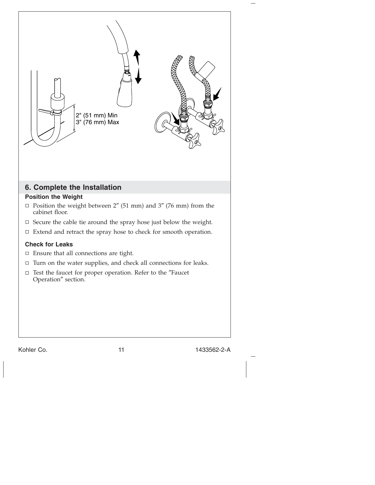

Kohler Co. 2012 11 11 1433562-2-A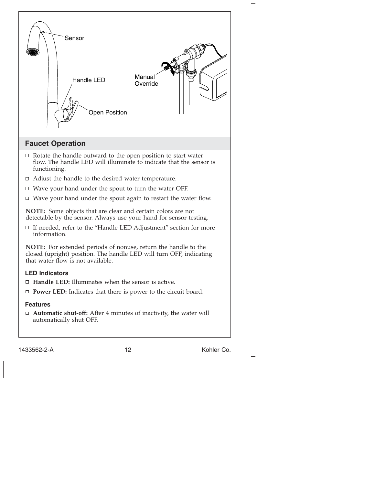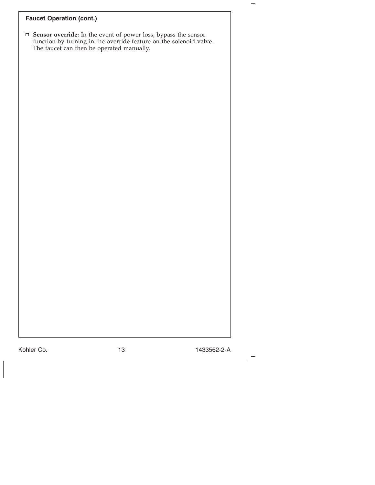## **Faucet Operation (cont.)**

**Sensor override:** In the event of power loss, bypass the sensor function by turning in the override feature on the solenoid valve. The faucet can then be operated manually.

Kohler Co. 13 1433562-2-A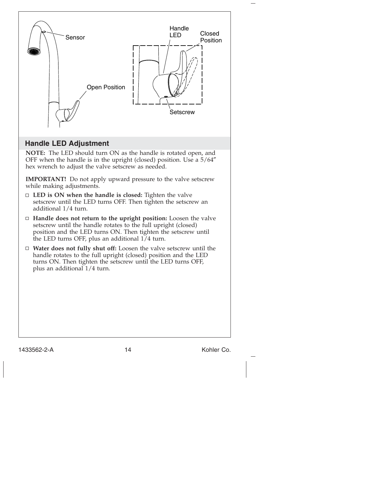

**IMPORTANT!** Do not apply upward pressure to the valve setscrew while making adjustments.

- **LED is ON when the handle is closed:** Tighten the valve setscrew until the LED turns OFF. Then tighten the setscrew an additional 1/4 turn.
- **Handle does not return to the upright position:** Loosen the valve setscrew until the handle rotates to the full upright (closed) position and the LED turns ON. Then tighten the setscrew until the LED turns OFF, plus an additional  $1/4$  turn.
- **Water does not fully shut off:** Loosen the valve setscrew until the handle rotates to the full upright (closed) position and the LED turns ON. Then tighten the setscrew until the LED turns OFF, plus an additional 1/4 turn.

1433562-2-A 14 Kohler Co.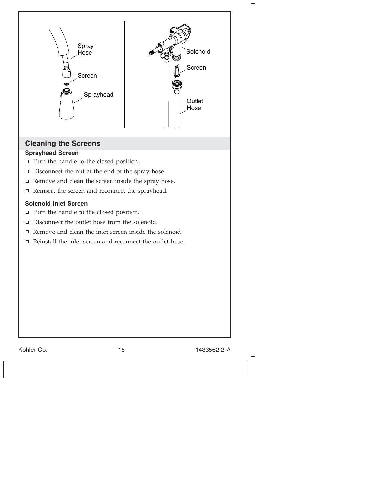

## **Cleaning the Screens**

#### **Sprayhead Screen**

- $\Box$  Turn the handle to the closed position.
- $\Box$  Disconnect the nut at the end of the spray hose.
- $\Box$  Remove and clean the screen inside the spray hose.
- $\Box$  Reinsert the screen and reconnect the sprayhead.

#### **Solenoid Inlet Screen**

- $\Box$  Turn the handle to the closed position.
- $\Box$  Disconnect the outlet hose from the solenoid.
- $\Box$  Remove and clean the inlet screen inside the solenoid.
- $\Box$  Reinstall the inlet screen and reconnect the outlet hose.

Kohler Co. 2012 15 1433562-2-A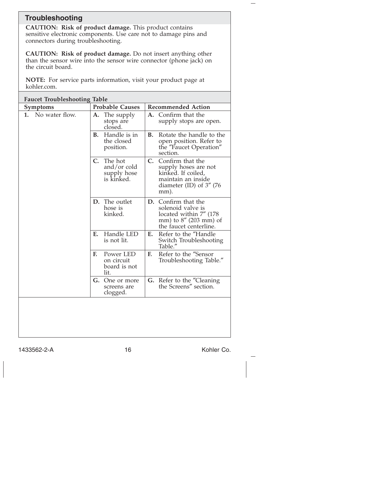## **Troubleshooting**

**CAUTION: Risk of product damage.** This product contains sensitive electronic components. Use care not to damage pins and connectors during troubleshooting.

**CAUTION: Risk of product damage.** Do not insert anything other than the sensor wire into the sensor wire connector (phone jack) on the circuit board.

**NOTE:** For service parts information, visit your product page at kohler.com.

| <b>Faucet Troubleshooting Table</b> |                                                                       |                                                                                                                            |  |
|-------------------------------------|-----------------------------------------------------------------------|----------------------------------------------------------------------------------------------------------------------------|--|
| <b>Symptoms</b>                     | <b>Probable Causes</b>                                                | <b>Recommended Action</b>                                                                                                  |  |
| 1. No water flow.                   | The supply<br>А.<br>stops are<br>closed.                              | Confirm that the<br>A.<br>supply stops are open.                                                                           |  |
|                                     | Handle is in<br><b>B.</b><br>the closed<br>position.                  | Rotate the handle to the<br><b>B.</b><br>open position. Refer to<br>the "Faucet Operation"<br>section.                     |  |
|                                     | The hot<br>$\mathbf{C}$ .<br>and/or cold<br>supply hose<br>is kinked. | C. Confirm that the<br>supply hoses are not<br>kinked. If coiled,<br>maintain an inside<br>diameter (ID) of 3" (76<br>mm). |  |
|                                     | D. The outlet<br>hose is<br>kinked.                                   | D. Confirm that the<br>solenoid valve is<br>located within 7" (178<br>mm) to 8" (203 mm) of<br>the faucet centerline.      |  |
|                                     | Handle LED<br>Е.<br>is not lit.                                       | Refer to the "Handle<br>Е.<br>Switch Troubleshooting<br>Table."                                                            |  |
|                                     | Power LED<br>F.<br>on circuit<br>board is not<br>lit.                 | Refer to the "Sensor<br>F.<br>Troubleshooting Table."                                                                      |  |
|                                     | G.<br>One or more<br>screens are<br>clogged.                          | G. Refer to the "Cleaning<br>the Screens" section.                                                                         |  |
|                                     |                                                                       |                                                                                                                            |  |

1433562-2-A 16 16 Kohler Co.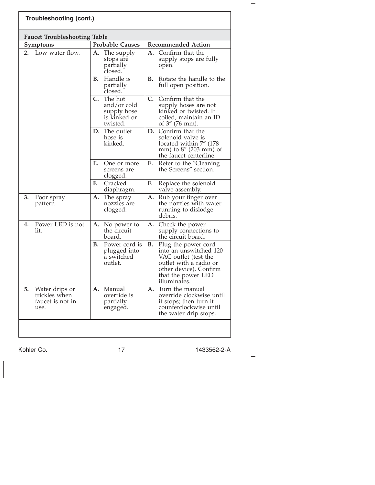| Troubleshooting (cont.)                                           |                                                                                     |                                                                                                                                                                       |  |  |  |  |
|-------------------------------------------------------------------|-------------------------------------------------------------------------------------|-----------------------------------------------------------------------------------------------------------------------------------------------------------------------|--|--|--|--|
| <b>Faucet Troubleshooting Table</b>                               |                                                                                     |                                                                                                                                                                       |  |  |  |  |
| Symptoms                                                          | <b>Probable Causes</b>                                                              | <b>Recommended Action</b>                                                                                                                                             |  |  |  |  |
| Low water flow.<br>2.                                             | The supply<br>А.<br>stops are<br>partially<br>closed.                               | Confirm that the<br>A.<br>supply stops are fully<br>open.                                                                                                             |  |  |  |  |
|                                                                   | Handle is<br>В.<br>partially<br>closed.                                             | <b>B.</b><br>Rotate the handle to the<br>full open position.                                                                                                          |  |  |  |  |
|                                                                   | $\mathbf{C}$ .<br>The hot<br>and/or cold<br>supply hose<br>is kinked or<br>twisted. | C. Confirm that the<br>supply hoses are not<br>kinked or twisted. If<br>coiled, maintain an ID<br>of 3" (76 mm).                                                      |  |  |  |  |
|                                                                   | D. The outlet<br>hose is<br>kinked.                                                 | D.<br>Confirm that the<br>solenoid valve is<br>located within 7" (178<br>mm) to 8" (203 mm) of<br>the faucet centerline.                                              |  |  |  |  |
|                                                                   | Е.<br>One or more<br>screens are<br>clogged.                                        | Refer to the "Cleaning<br>E.<br>the Screens" section.                                                                                                                 |  |  |  |  |
|                                                                   | F.<br>Cracked<br>diaphragm.                                                         | F.<br>Replace the solenoid<br>valve assembly.                                                                                                                         |  |  |  |  |
| 3.<br>Poor spray<br>pattern.                                      | The spray<br>A.<br>nozzles are<br>clogged.                                          | Rub your finger over<br>А.<br>the nozzles with water<br>running to dislodge<br>debris.                                                                                |  |  |  |  |
| Power LED is not<br>4.<br>lit.                                    | A.<br>No power to<br>the circuit<br>board.                                          | A.<br>Check the power<br>supply connections to<br>the circuit board.                                                                                                  |  |  |  |  |
|                                                                   | Power cord is<br>В.<br>plugged into<br>a switched<br>outlet.                        | В.<br>Plug the power cord<br>into an unswitched 120<br>VAC outlet (test the<br>outlet with a radio or<br>other device). Confirm<br>that the power LED<br>illuminates. |  |  |  |  |
| 5.<br>Water drips or<br>trickles when<br>faucet is not in<br>use. | Manual<br>A.<br>override is<br>partially<br>engaged.                                | Turn the manual<br>А.<br>override clockwise until<br>it stops; then turn it<br>counterclockwise until<br>the water drip stops.                                        |  |  |  |  |
|                                                                   |                                                                                     |                                                                                                                                                                       |  |  |  |  |

Kohler Co. 17 1433562-2-A

 $\frac{1}{2}$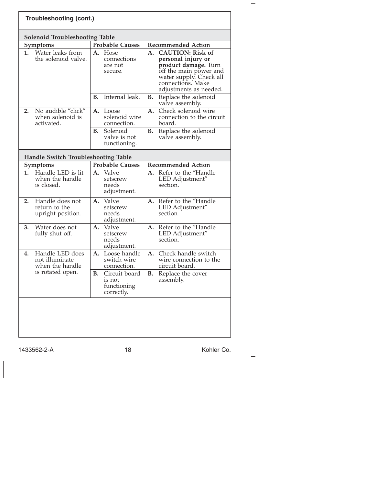|    | <b>Solenoid Troubleshooting Table</b><br><b>Symptoms</b>                 |    | <b>Probable Causes</b>                        |    | <b>Recommended Action</b>                                                                                                                                                 |
|----|--------------------------------------------------------------------------|----|-----------------------------------------------|----|---------------------------------------------------------------------------------------------------------------------------------------------------------------------------|
| 1. | Water leaks from<br>the solenoid valve.                                  |    | A. Hose<br>connections<br>are not<br>secure.  | A. | <b>CAUTION: Risk of</b><br>personal injury or<br>product damage. Turn<br>off the main power and<br>water supply. Check all<br>connections. Make<br>adjustments as needed. |
|    |                                                                          | В. | Internal leak.                                | В. | Replace the solenoid<br>valve assembly.                                                                                                                                   |
| 2. | No audible "click"<br>when solenoid is<br>activated.                     |    | A. Loose<br>solenoid wire<br>connection.      | A. | Check solenoid wire<br>connection to the circuit<br>board.                                                                                                                |
|    |                                                                          | В. | Solenoid<br>valve is not<br>functioning.      | В. | Replace the solenoid<br>valve assembly.                                                                                                                                   |
|    | <b>Handle Switch Troubleshooting Table</b>                               |    |                                               |    |                                                                                                                                                                           |
|    | Symptoms                                                                 |    | <b>Probable Causes</b>                        |    | <b>Recommended Action</b>                                                                                                                                                 |
| 1. | Handle LED is lit<br>when the handle                                     | А. | Valve<br>setscrew                             | A. | Refer to the "Handle<br>LED Adjustment"                                                                                                                                   |
|    | is closed.                                                               |    | needs<br>adjustment.                          |    | section.                                                                                                                                                                  |
| 2. | Handle does not<br>return to the<br>upright position.                    | A. | Valve<br>setscrew<br>needs<br>adjustment.     | A. | Refer to the "Handle<br>LED Adjustment"<br>section.                                                                                                                       |
| 3. | Water does not<br>fully shut off.                                        | A. | Valve<br>setscrew<br>needs<br>adjustment.     | А. | Refer to the "Handle<br>LED Adjustment"<br>section.                                                                                                                       |
| 4. | Handle LED does<br>not illuminate<br>when the handle<br>is rotated open. |    | A. Loose handle<br>switch wire<br>connection. | A. | Check handle switch<br>wire connection to the<br>circuit board.                                                                                                           |

1433562-2-A 18 18 Kohler Co.

 $\overline{\phantom{a}}$  $\overline{\phantom{a}}$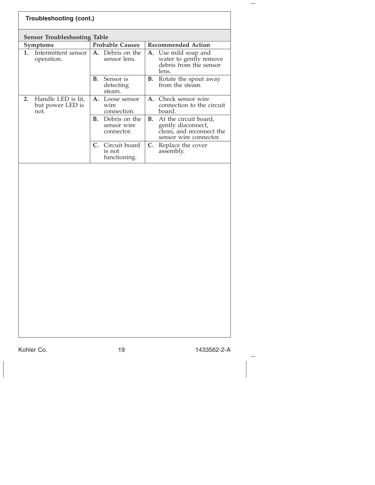| <b>Symptoms</b><br>Intermittent sensor<br>1.<br>operation.<br>2.<br>Handle LED is lit, | <b>Probable Causes</b><br>A. Debris on the<br>sensor lens.<br>Sensor is<br>В.<br>detecting | <b>Recommended Action</b><br>A. Use mild soap and<br>water to gently remove<br>debris from the sensor<br>lens. |
|----------------------------------------------------------------------------------------|--------------------------------------------------------------------------------------------|----------------------------------------------------------------------------------------------------------------|
|                                                                                        |                                                                                            |                                                                                                                |
|                                                                                        |                                                                                            |                                                                                                                |
|                                                                                        | steam.                                                                                     | <b>B.</b> Rotate the spout away<br>from the steam.                                                             |
| but power LED is<br>not.                                                               | A. Loose sensor<br>wire<br>connection.                                                     | A. Check sensor wire<br>connection to the circuit<br>board.                                                    |
|                                                                                        | Debris on the<br><b>B.</b><br>sensor wire<br>connector.                                    | В.<br>At the circuit board,<br>gently disconnect,<br>clean, and reconnect the<br>sensor wire connector.        |
|                                                                                        | C. Circuit board<br>is not<br>functioning.                                                 | C. Replace the cover<br>assembly.                                                                              |
|                                                                                        |                                                                                            |                                                                                                                |

 $\overline{\phantom{a}}$ 

 $\overline{\phantom{m}}$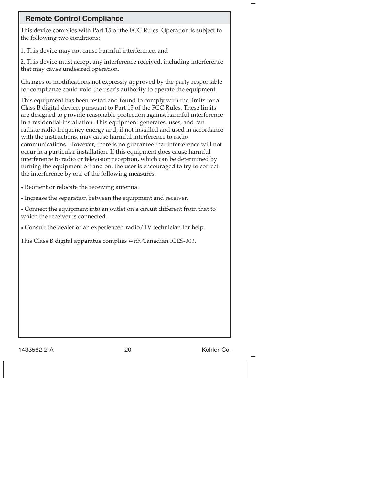## **Remote Control Compliance**

This device complies with Part 15 of the FCC Rules. Operation is subject to the following two conditions:

1. This device may not cause harmful interference, and

2. This device must accept any interference received, including interference that may cause undesired operation.

Changes or modifications not expressly approved by the party responsible for compliance could void the user's authority to operate the equipment.

This equipment has been tested and found to comply with the limits for a Class B digital device, pursuant to Part 15 of the FCC Rules. These limits are designed to provide reasonable protection against harmful interference in a residential installation. This equipment generates, uses, and can radiate radio frequency energy and, if not installed and used in accordance with the instructions, may cause harmful interference to radio communications. However, there is no guarantee that interference will not occur in a particular installation. If this equipment does cause harmful interference to radio or television reception, which can be determined by turning the equipment off and on, the user is encouraged to try to correct the interference by one of the following measures:

• Reorient or relocate the receiving antenna.

• Increase the separation between the equipment and receiver.

• Connect the equipment into an outlet on a circuit different from that to which the receiver is connected.

• Consult the dealer or an experienced radio/TV technician for help.

This Class B digital apparatus complies with Canadian ICES-003.

1433562-2-A 20 Kohler Co.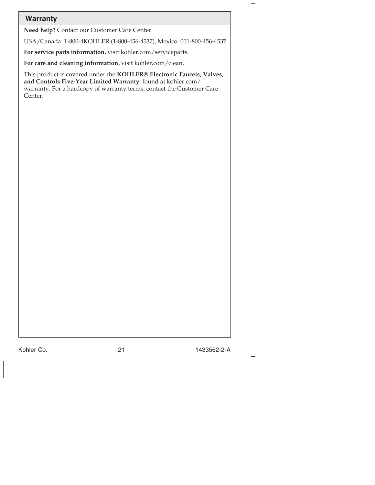| <b>Warranty</b> |                                                                                                                                                                                                                 |
|-----------------|-----------------------------------------------------------------------------------------------------------------------------------------------------------------------------------------------------------------|
|                 | Need help? Contact our Customer Care Center.                                                                                                                                                                    |
|                 | USA/Canada: 1-800-4KOHLER (1-800-456-4537), Mexico: 001-800-456-4537                                                                                                                                            |
|                 | For service parts information, visit kohler.com/serviceparts.                                                                                                                                                   |
|                 | For care and cleaning information, visit kohler.com/clean.                                                                                                                                                      |
| Center.         | This product is covered under the KOHLER® Electronic Faucets, Valves,<br>and Controls Five-Year Limited Warranty, found at kohler.com/<br>warranty. For a hardcopy of warranty terms, contact the Customer Care |
|                 |                                                                                                                                                                                                                 |
|                 |                                                                                                                                                                                                                 |
|                 |                                                                                                                                                                                                                 |
|                 |                                                                                                                                                                                                                 |
|                 |                                                                                                                                                                                                                 |
|                 |                                                                                                                                                                                                                 |
|                 |                                                                                                                                                                                                                 |
|                 |                                                                                                                                                                                                                 |
|                 |                                                                                                                                                                                                                 |
|                 |                                                                                                                                                                                                                 |
|                 |                                                                                                                                                                                                                 |
|                 |                                                                                                                                                                                                                 |
|                 |                                                                                                                                                                                                                 |
|                 |                                                                                                                                                                                                                 |
|                 |                                                                                                                                                                                                                 |
|                 |                                                                                                                                                                                                                 |

Kohler Co. 21 21 1433562-2-A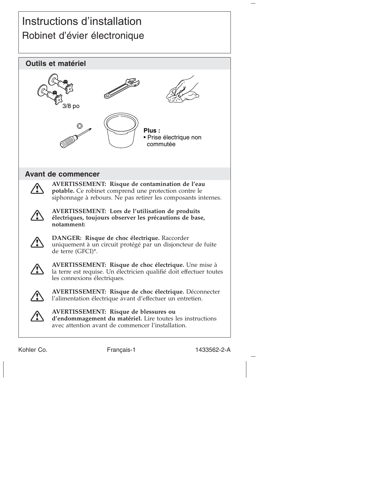## Instructions d'installation Robinet d'évier électronique



Kohler Co. The Français-1 1433562-2-A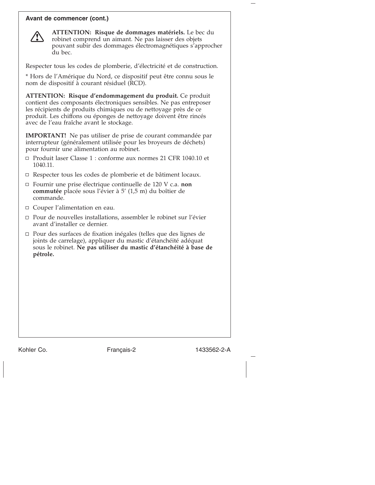#### **Avant de commencer (cont.)**



**ATTENTION: Risque de dommages matériels.** Le bec du robinet comprend un aimant. Ne pas laisser des objets pouvant subir des dommages électromagnétiques s'approcher du bec.

Respecter tous les codes de plomberie, d'électricité et de construction.

\* Hors de l'Amérique du Nord, ce dispositif peut être connu sous le nom de dispositif à courant résiduel (RCD).

**ATTENTION: Risque d'endommagement du produit.** Ce produit contient des composants électroniques sensibles. Ne pas entreposer les récipients de produits chimiques ou de nettoyage près de ce produit. Les chiffons ou éponges de nettoyage doivent être rincés avec de l'eau fraîche avant le stockage.

**IMPORTANT!** Ne pas utiliser de prise de courant commandée par interrupteur (généralement utilisée pour les broyeurs de déchets) pour fournir une alimentation au robinet.

- Produit laser Classe 1 : conforme aux normes 21 CFR 1040.10 et 1040.11.
- □ Respecter tous les codes de plomberie et de bâtiment locaux.
- Fournir une prise électrique continuelle de 120 V c.a. **non commutée** placée sous l'évier à 5' (1,5 m) du boîtier de commande.
- □ Couper l'alimentation en eau.
- $\Box$  Pour de nouvelles installations, assembler le robinet sur l'évier avant d'installer ce dernier.
- $\Box$  Pour des surfaces de fixation inégales (telles que des lignes de joints de carrelage), appliquer du mastic d'étanchéité adéquat sous le robinet. **Ne pas utiliser du mastic d'étanchéité à base de pétrole.**

Kohler Co. Français-2 1433562-2-A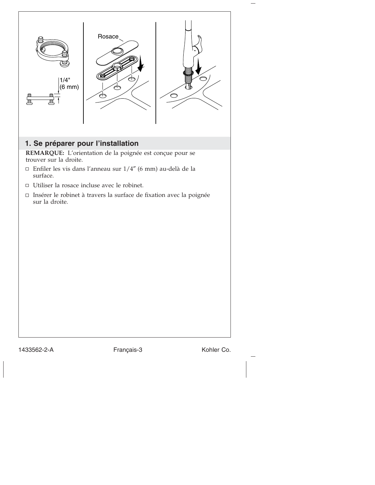

1433562-2-A Français-3 Kohler Co.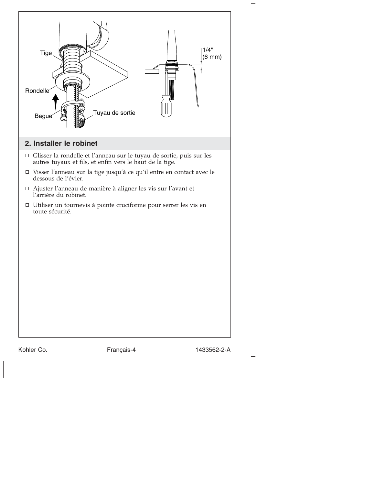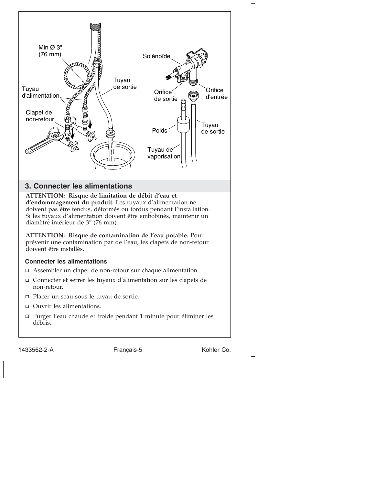

1433562-2-A Français-5 Kohler Co.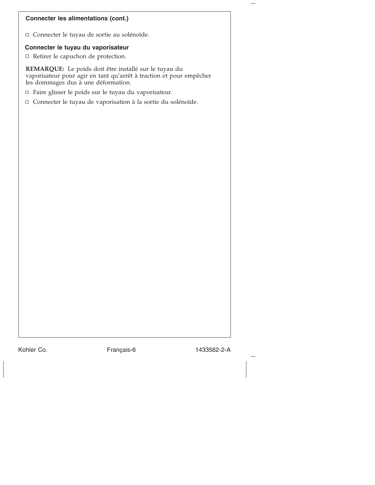#### **Connecter les alimentations (cont.)**

Connecter le tuyau de sortie au solénoïde.

#### **Connecter le tuyau du vaporisateur**

 $\Box$  Retirer le capuchon de protection.

**REMARQUE:** Le poids doit être installé sur le tuyau du vaporisateur pour agir en tant qu'arrêt à traction et pour empêcher les dommages dus à une déformation.

- Faire glisser le poids sur le tuyau du vaporisateur.
- Connecter le tuyau de vaporisation à la sortie du solénoïde.

Kohler Co. **Français-6** 1433562-2-A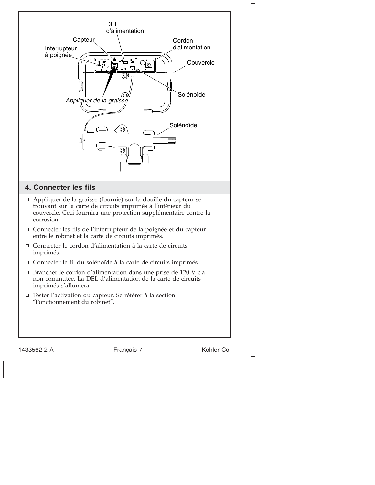

1433562-2-A Français-7 Kohler Co.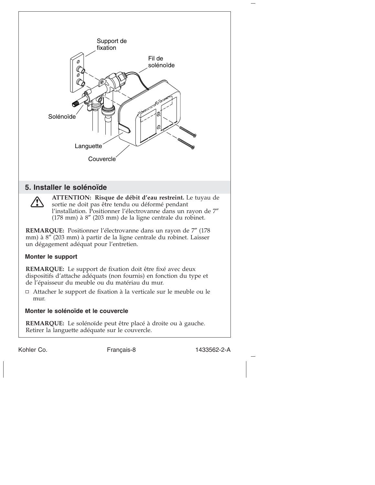

Kohler Co. Français-8 1433562-2-A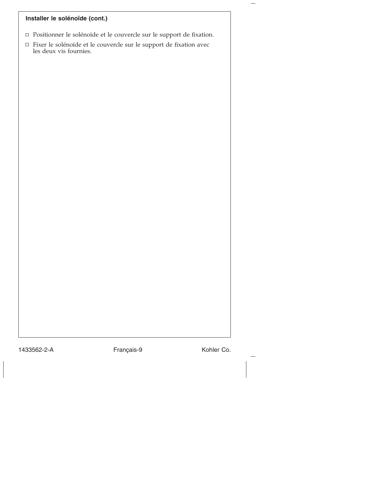## **Installer le solénoïde (cont.)**

- Positionner le solénoïde et le couvercle sur le support de fixation.
- Fixer le solénoïde et le couvercle sur le support de fixation avec les deux vis fournies.

1433562-2-A Français-9 Kohler Co.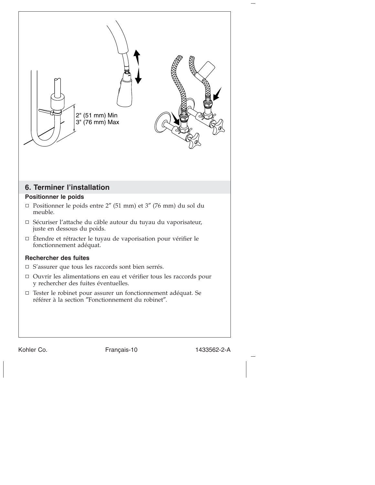

Kohler Co. Français-10 1433562-2-A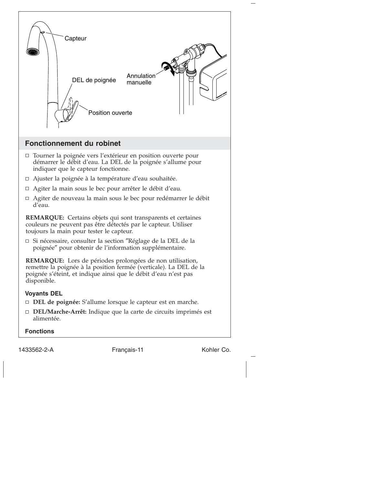

**Fonctions**

1433562-2-A Français-11 Kohler Co.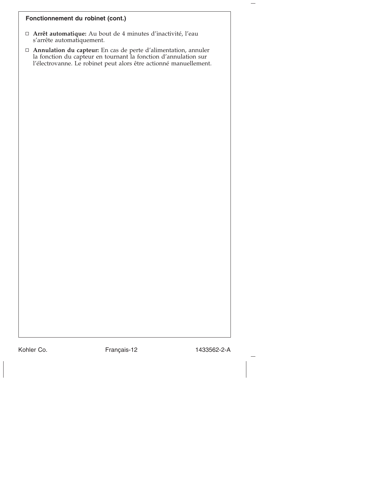#### **Fonctionnement du robinet (cont.)**

- **Arrêt automatique:** Au bout de 4 minutes d'inactivité, l'eau s'arrête automatiquement.
- **Annulation du capteur:** En cas de perte d'alimentation, annuler la fonction du capteur en tournant la fonction d'annulation sur l'électrovanne. Le robinet peut alors être actionné manuellement.

Kohler Co. Français-12 1433562-2-A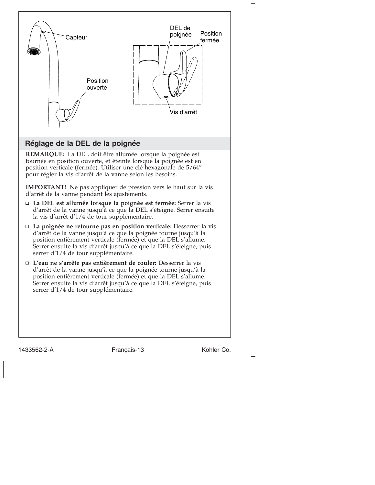

1433562-2-A Français-13 Kohler Co.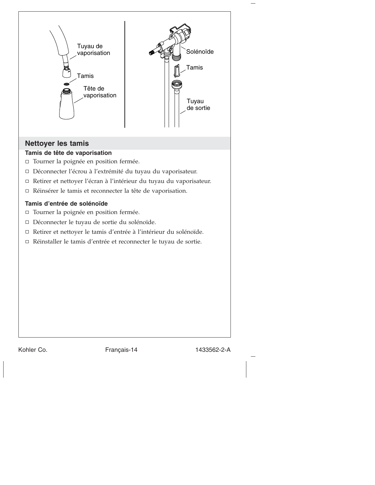

## **Nettoyer les tamis**

### **Tamis de tête de vaporisation**

- Tourner la poignée en position fermée.
- Déconnecter l'écrou à l'extrémité du tuyau du vaporisateur.
- Retirer et nettoyer l'écran à l'intérieur du tuyau du vaporisateur.
- Réinsérer le tamis et reconnecter la tête de vaporisation.

#### **Tamis d'entrée de solénoïde**

- Tourner la poignée en position fermée.
- Déconnecter le tuyau de sortie du solénoïde.
- Retirer et nettoyer le tamis d'entrée à l'intérieur du solénoïde.
- Réinstaller le tamis d'entrée et reconnecter le tuyau de sortie.

Kohler Co. Français-14 1433562-2-A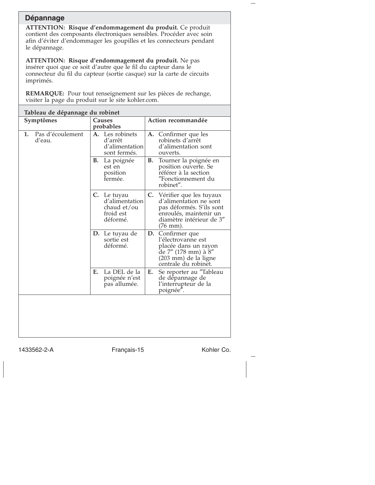## **Dépannage**

**ATTENTION: Risque d'endommagement du produit.** Ce produit contient des composants électroniques sensibles. Procéder avec soin afin d'éviter d'endommager les goupilles et les connecteurs pendant le dépannage.

**ATTENTION: Risque d'endommagement du produit.** Ne pas insérer quoi que ce soit d'autre que le fil du capteur dans le connecteur du fil du capteur (sortie casque) sur la carte de circuits imprimés.

**REMARQUE:** Pour tout renseignement sur les pièces de rechange, visiter la page du produit sur le site kohler.com.

| Tableau de dépannage du robinet  |                                                                       |                                                                                                                                                    |  |  |
|----------------------------------|-----------------------------------------------------------------------|----------------------------------------------------------------------------------------------------------------------------------------------------|--|--|
| Symptômes                        | Causes<br>probables                                                   | Action recommandée                                                                                                                                 |  |  |
| Pas d'écoulement<br>1.<br>d'eau. | A. Les robinets<br>d'arrêt<br>d'alimentation<br>sont fermés.          | A. Confirmer que les<br>robinets d'arrêt<br>d'alimentation sont<br>ouverts.                                                                        |  |  |
|                                  | В.<br>La poignée<br>est en<br>position<br>fermée.                     | Tourner la poignée en<br>В.<br>position ouverte. Se<br>référer à la section<br>"Fonctionnement du<br>robinet".                                     |  |  |
|                                  | C. Le tuyau<br>d'alimentation<br>chaud et/ou<br>froid est<br>déformé. | C. Vérifier que les tuyaux<br>d'alimentation ne sont<br>pas déformés. S'ils sont<br>enroulés, maintenir un<br>diamètre intérieur de 3"<br>(76 mm). |  |  |
|                                  | D. Le tuyau de<br>sortie est<br>déformé.                              | Confirmer que<br>D.<br>l'électrovanne est<br>placée dans un rayon<br>de 7" (178 mm) à 8"<br>(203 mm) de la ligne<br>centrale du robinet.           |  |  |
|                                  | La DEL de la<br>E.<br>poignée n'est<br>pas allumée.                   | Se reporter au "Tableau<br>Е.<br>de dépannage de<br>l'interrupteur de la<br>poignée".                                                              |  |  |
|                                  |                                                                       |                                                                                                                                                    |  |  |

1433562-2-A Français-15 Kohler Co.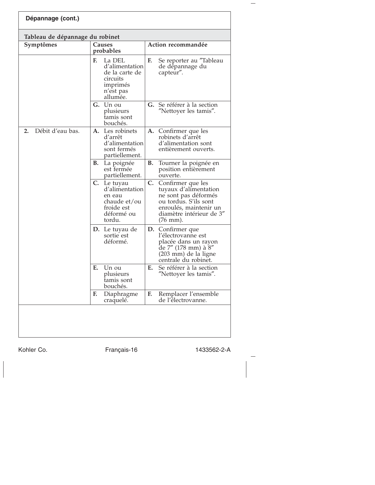| Dépannage (cont.)               |                     |                                                                                             |                    |                                                                                                                                                                          |
|---------------------------------|---------------------|---------------------------------------------------------------------------------------------|--------------------|--------------------------------------------------------------------------------------------------------------------------------------------------------------------------|
| Tableau de dépannage du robinet |                     |                                                                                             |                    |                                                                                                                                                                          |
| Symptômes                       | Causes<br>probables |                                                                                             | Action recommandée |                                                                                                                                                                          |
|                                 | E.                  | La DEL<br>d'alimentation<br>de la carte de<br>circuits<br>imprimés<br>n'est pas<br>allumée. | F.                 | Se reporter au "Tableau<br>de dépannage du<br>capteur".                                                                                                                  |
|                                 |                     | G. Un ou<br>plusieurs<br>tamis sont<br>bouchés.                                             |                    | G. Se référer à la section<br>"Nettoyer les tamis".                                                                                                                      |
| Débit d'eau bas.<br>2.          | А.                  | Les robinets<br>d'arrêt<br>d'alimentation<br>sont fermés<br>partiellement.                  |                    | A. Confirmer que les<br>robinets d'arrêt<br>d'alimentation sont<br>entièrement ouverts.                                                                                  |
|                                 | В.                  | La poignée<br>est fermée<br>partiellement.                                                  | В.                 | Tourner la poignée en<br>position entièrement<br>ouverte.                                                                                                                |
|                                 | C.                  | Le tuyau<br>d'alimentation<br>en eau<br>chaude et/ou<br>froide est<br>déformé ou<br>tordu.  | C.                 | Confirmer que les<br>tuyaux d'alimentation<br>ne sont pas déformés<br>ou tordus. S'ils sont<br>enroulés, maintenir un<br>diamètre intérieur de 3"<br>$(76 \text{ mm})$ . |
|                                 |                     | D. Le tuyau de<br>sortie est<br>déformé.                                                    |                    | D. Confirmer que<br>l'électrovanne est<br>placée dans un rayon<br>de 7" (178 mm) à 8"<br>(203 mm) de la ligne<br>centrale du robinet.                                    |
|                                 | E.                  | Un ou<br>plusieurs<br>tamis sont<br>bouchés.                                                | Е.                 | Se référer à la section<br>"Nettoyer les tamis".                                                                                                                         |
|                                 | F.                  | Diaphragme<br>craquelé.                                                                     | F.                 | Remplacer l'ensemble<br>de l'électrovanne.                                                                                                                               |
|                                 |                     |                                                                                             |                    |                                                                                                                                                                          |

Kohler Co. Français-16 1433562-2-A

 $\overline{\phantom{0}}$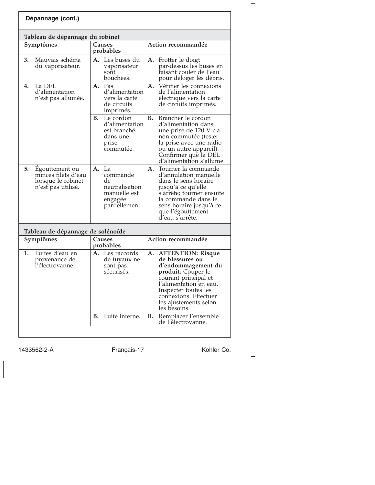| Dépannage (cont.)                                                                       |                                                                                           |                                                                                                                                                                                                                                           |
|-----------------------------------------------------------------------------------------|-------------------------------------------------------------------------------------------|-------------------------------------------------------------------------------------------------------------------------------------------------------------------------------------------------------------------------------------------|
| Tableau de dépannage du robinet                                                         |                                                                                           |                                                                                                                                                                                                                                           |
| Symptômes                                                                               | Causes<br>probables                                                                       | Action recommandée                                                                                                                                                                                                                        |
| 3.<br>Mauvais schéma<br>du vaporisateur.                                                | A. Les buses du<br>vaporisateur<br>sont<br>bouchées.                                      | A. Frotter le doigt<br>par-dessus les buses en<br>faisant couler de l'eau<br>pour déloger les débris.                                                                                                                                     |
| La DEL<br>4.<br>d'alimentation<br>n'est pas allumée.                                    | A. Pas<br>d'alimentation<br>vers la carte<br>de circuits<br>imprimés.                     | A <sub>1</sub><br>Vérifier les connexions<br>de l'alimentation<br>électrique vers la carte<br>de circuits imprimés.                                                                                                                       |
|                                                                                         | В.<br>Le cordon<br>d'alimentation<br>est branché<br>dans une<br>prise<br>commutée.        | Brancher le cordon<br>В.<br>d'alimentation dans<br>une prise de 120 V c.a.<br>non commutée (tester<br>la prise avec une radio<br>ou un autre appareil).<br>Confirmer que la DEL<br>d'alimentation s'allume.                               |
| 5.<br>Égouttement ou<br>minces filets d'eau<br>lorsque le robinet<br>n'est pas utilisé. | La<br>А.<br>commande<br>de<br>neutralisation<br>manuelle est<br>engagée<br>partiellement. | Tourner la commande<br>А.<br>d'annulation manuelle<br>dans le sens horaire<br>jusqu'à ce qu'elle<br>s'arrête; tourner ensuite<br>la commande dans le<br>sens horaire jusqu'à ce<br>que l'égouttement<br>d'eau s'arrête.                   |
| Tableau de dépannage de solénoïde                                                       |                                                                                           |                                                                                                                                                                                                                                           |
| Symptômes                                                                               | Causes<br>probables                                                                       | Action recommandée                                                                                                                                                                                                                        |
| Fuites d'eau en<br>1.<br>provenance de<br>l'électrovanne.                               | Les raccords<br>А.<br>de tuyaux ne<br>sont pas<br>sécurisés.                              | <b>ATTENTION: Risque</b><br>А.<br>de blessures ou<br>d'endommagement du<br>produit. Couper le<br>courant principal et<br>l'alimentation en eau.<br>Inspecter toutes les<br>connexions. Effectuer<br>les ajustements selon<br>les besoins. |
|                                                                                         | Fuite interne.<br>В.                                                                      | Remplacer l'ensemble<br>В.                                                                                                                                                                                                                |

1433562-2-A Français-17 Kohler Co.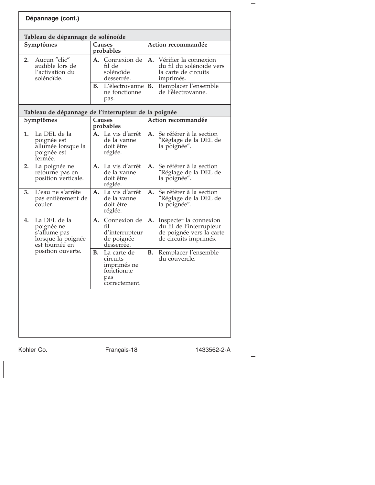|    | Dépannage (cont.)                                                                  |    |                                                                              |           |                                                                                                         |  |
|----|------------------------------------------------------------------------------------|----|------------------------------------------------------------------------------|-----------|---------------------------------------------------------------------------------------------------------|--|
|    | Tableau de dépannage de solénoïde                                                  |    |                                                                              |           |                                                                                                         |  |
|    | Symptômes                                                                          |    | Causes<br>probables                                                          |           | Action recommandée                                                                                      |  |
| 2. | Aucun "clic"<br>audible lors de<br>l'activation du<br>solénoïde.                   |    | A. Connexion de<br>fil de<br>solénoïde<br>desserrée.                         |           | A. Vérifier la connexion<br>du fil du solénoïde vers<br>la carte de circuits<br>imprimés.               |  |
|    |                                                                                    | В. | L'électrovanne<br>ne fonctionne<br>pas.                                      | В.        | Remplacer l'ensemble<br>de l'électrovanne.                                                              |  |
|    | Tableau de dépannage de l'interrupteur de la poignée                               |    |                                                                              |           |                                                                                                         |  |
|    | Symptômes                                                                          |    | Causes<br>probables                                                          |           | Action recommandée                                                                                      |  |
| 1. | La DEL de la<br>poignée est<br>allumée lorsque la<br>poignée est<br>fermée.        |    | A. La vis d'arrêt<br>de la vanne<br>doit être<br>réglée.                     | A.        | Se référer à la section<br>"Réglage de la DEL de<br>la poignée".                                        |  |
| 2. | La poignée ne<br>retourne pas en<br>position verticale.                            |    | A. La vis d'arrêt<br>de la vanne<br>doit être<br>réglée.                     | А.        | Se référer à la section<br>"Réglage de la DEL de<br>la poignée".                                        |  |
| 3. | L'eau ne s'arrête<br>pas entièrement de<br>couler.                                 | A. | La vis d'arrêt<br>de la vanne<br>doit être<br>réglée.                        | A.        | Se référer à la section<br>"Réglage de la DEL de<br>la poignée".                                        |  |
| 4. | La DEL de la<br>poignée ne<br>s'allume pas<br>lorsque la poignée<br>est tournée en | А. | Connexion de<br>fil<br>d'interrupteur<br>de poignée<br>desserrée.            | A.        | Inspecter la connexion<br>du fil de l'interrupteur<br>de poignée vers la carte<br>de circuits imprimés. |  |
|    | position ouverte.                                                                  | В. | La carte de<br>circuits<br>imprimés ne<br>fonctionne<br>pas<br>correctement. | <b>B.</b> | Remplacer l'ensemble<br>du couvercle.                                                                   |  |
|    |                                                                                    |    |                                                                              |           |                                                                                                         |  |

Kohler Co. Français-18 1433562-2-A

 $\overline{\phantom{0}}$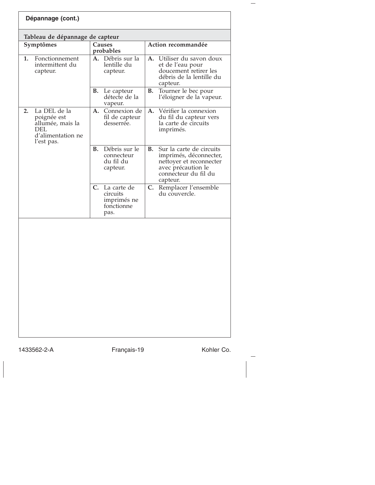| Dépannage (cont.)                                                                                      |                                                                                |                                                                                                                                               |  |  |
|--------------------------------------------------------------------------------------------------------|--------------------------------------------------------------------------------|-----------------------------------------------------------------------------------------------------------------------------------------------|--|--|
| Tableau de dépannage de capteur                                                                        |                                                                                |                                                                                                                                               |  |  |
| Symptômes                                                                                              | Causes<br>probables                                                            | Action recommandée                                                                                                                            |  |  |
| Fonctionnement<br>1.<br>intermittent du<br>capteur.                                                    | A. Débris sur la<br>lentille du<br>capteur.                                    | Utiliser du savon doux<br>A.<br>et de l'eau pour<br>doucement retirer les<br>débris de la lentille du<br>capteur.                             |  |  |
|                                                                                                        | Le capteur<br>В.<br>détecte de la<br>vapeur.                                   | <b>B.</b><br>Tourner le bec pour<br>l'éloigner de la vapeur.                                                                                  |  |  |
| La DEL de la<br>2.<br>poignée est<br>allumée, mais la<br><b>DEL</b><br>d'alimentation ne<br>l'est pas. | А.<br>Connexion de<br>fil de capteur<br>desserrée.                             | Vérifier la connexion<br>A.<br>du fil du capteur vers<br>la carte de circuits<br>imprimés.                                                    |  |  |
|                                                                                                        | Débris sur le<br>В.<br>connecteur<br>du fil du<br>capteur.                     | Sur la carte de circuits<br>В.<br>imprimés, déconnecter,<br>nettoyer et reconnecter<br>avec précaution le<br>connecteur du fil du<br>capteur. |  |  |
|                                                                                                        | $\mathbf{C}$ .<br>La carte de<br>circuits<br>imprimés ne<br>fonctionne<br>pas. | C.<br>Remplacer l'ensemble<br>du couvercle.                                                                                                   |  |  |
|                                                                                                        |                                                                                |                                                                                                                                               |  |  |

 $\overline{\phantom{a}}$ 

1433562-2-A Français-19 Kohler Co.

 $\overline{\phantom{0}}$ 

 $\rightarrow$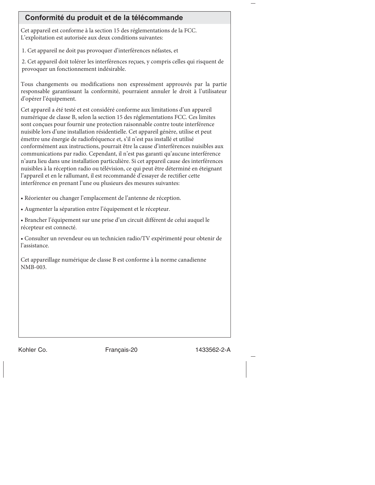| Conformité du produit et de la télécommande                                                                                                                                                                                                                                                                                                                                                                                                                                                                                                                                                                                                                                                                                                                                                                                                                                                                                                        |
|----------------------------------------------------------------------------------------------------------------------------------------------------------------------------------------------------------------------------------------------------------------------------------------------------------------------------------------------------------------------------------------------------------------------------------------------------------------------------------------------------------------------------------------------------------------------------------------------------------------------------------------------------------------------------------------------------------------------------------------------------------------------------------------------------------------------------------------------------------------------------------------------------------------------------------------------------|
| Cet appareil est conforme à la section 15 des réglementations de la FCC.<br>L'exploitation est autorisée aux deux conditions suivantes:                                                                                                                                                                                                                                                                                                                                                                                                                                                                                                                                                                                                                                                                                                                                                                                                            |
| 1. Cet appareil ne doit pas provoquer d'interférences néfastes, et                                                                                                                                                                                                                                                                                                                                                                                                                                                                                                                                                                                                                                                                                                                                                                                                                                                                                 |
| 2. Cet appareil doit tolérer les interférences reçues, y compris celles qui risquent de<br>provoquer un fonctionnement indésirable.                                                                                                                                                                                                                                                                                                                                                                                                                                                                                                                                                                                                                                                                                                                                                                                                                |
| Tous changements ou modifications non expressément approuvés par la partie<br>responsable garantissant la conformité, pourraient annuler le droit à l'utilisateur<br>d'opérer l'équipement.                                                                                                                                                                                                                                                                                                                                                                                                                                                                                                                                                                                                                                                                                                                                                        |
| Cet appareil a été testé et est considéré conforme aux limitations d'un appareil<br>numérique de classe B, selon la section 15 des réglementations FCC. Ces limites<br>sont conçues pour fournir une protection raisonnable contre toute interférence<br>nuisible lors d'une installation résidentielle. Cet appareil génère, utilise et peut<br>émettre une énergie de radiofréquence et, s'il n'est pas installé et utilisé<br>conformément aux instructions, pourrait être la cause d'interférences nuisibles aux<br>communications par radio. Cependant, il n'est pas garanti qu'aucune interférence<br>n'aura lieu dans une installation particulière. Si cet appareil cause des interférences<br>nuisibles à la réception radio ou télévision, ce qui peut être déterminé en éteignant<br>l'appareil et en le rallumant, il est recommandé d'essayer de rectifier cette<br>interférence en prenant l'une ou plusieurs des mesures suivantes: |
| · Réorienter ou changer l'emplacement de l'antenne de réception.                                                                                                                                                                                                                                                                                                                                                                                                                                                                                                                                                                                                                                                                                                                                                                                                                                                                                   |
| · Augmenter la séparation entre l'équipement et le récepteur.                                                                                                                                                                                                                                                                                                                                                                                                                                                                                                                                                                                                                                                                                                                                                                                                                                                                                      |
| · Brancher l'équipement sur une prise d'un circuit différent de celui auquel le<br>récepteur est connecté.                                                                                                                                                                                                                                                                                                                                                                                                                                                                                                                                                                                                                                                                                                                                                                                                                                         |
| · Consulter un revendeur ou un technicien radio/TV expérimenté pour obtenir de<br>l'assistance.                                                                                                                                                                                                                                                                                                                                                                                                                                                                                                                                                                                                                                                                                                                                                                                                                                                    |
| Cet appareillage numérique de classe B est conforme à la norme canadienne<br>NMB-003.                                                                                                                                                                                                                                                                                                                                                                                                                                                                                                                                                                                                                                                                                                                                                                                                                                                              |
|                                                                                                                                                                                                                                                                                                                                                                                                                                                                                                                                                                                                                                                                                                                                                                                                                                                                                                                                                    |
|                                                                                                                                                                                                                                                                                                                                                                                                                                                                                                                                                                                                                                                                                                                                                                                                                                                                                                                                                    |
|                                                                                                                                                                                                                                                                                                                                                                                                                                                                                                                                                                                                                                                                                                                                                                                                                                                                                                                                                    |
|                                                                                                                                                                                                                                                                                                                                                                                                                                                                                                                                                                                                                                                                                                                                                                                                                                                                                                                                                    |

Kohler Co. Français-20 1433562-2-A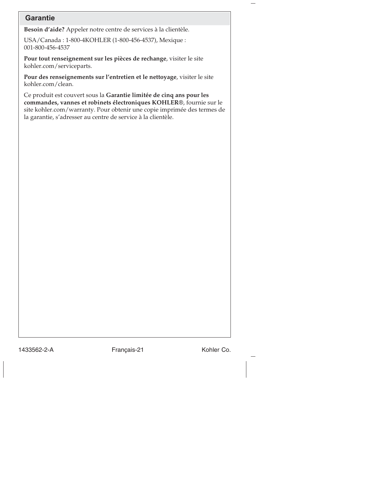## **Garantie**

**Besoin d'aide?** Appeler notre centre de services à la clientèle.

USA/Canada : 1-800-4KOHLER (1-800-456-4537), Mexique : 001-800-456-4537

**Pour tout renseignement sur les pièces de rechange**, visiter le site kohler.com/serviceparts.

**Pour des renseignements sur l'entretien et le nettoyage**, visiter le site kohler.com/clean.

Ce produit est couvert sous la **Garantie limitée de cinq ans pour les commandes, vannes et robinets électroniques KOHLER®**, fournie sur le site kohler.com/warranty. Pour obtenir une copie imprimée des termes de la garantie, s'adresser au centre de service à la clientèle.

1433562-2-A Français-21 Kohler Co.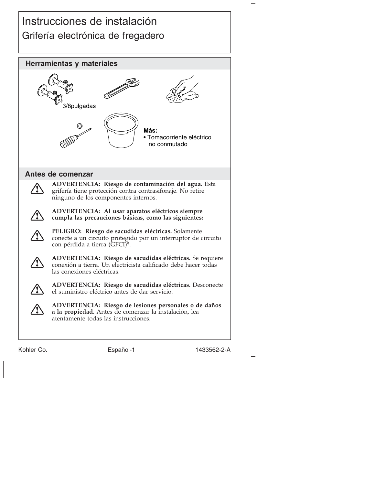# Instrucciones de instalación Grifería electrónica de fregadero



Kohler Co. **Español-1** 1433562-2-A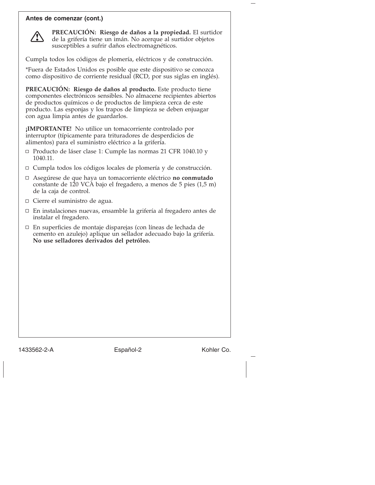#### **Antes de comenzar (cont.)**



**PRECAUCIÓN: Riesgo de daños a la propiedad.** El surtidor de la grifería tiene un imán. No acerque al surtidor objetos susceptibles a sufrir daños electromagnéticos.

Cumpla todos los códigos de plomería, eléctricos y de construcción.

\*Fuera de Estados Unidos es posible que este dispositivo se conozca como dispositivo de corriente residual (RCD, por sus siglas en inglés).

**PRECAUCIÓN: Riesgo de daños al producto.** Este producto tiene componentes electrónicos sensibles. No almacene recipientes abiertos de productos químicos o de productos de limpieza cerca de este producto. Las esponjas y los trapos de limpieza se deben enjuagar con agua limpia antes de guardarlos.

**¡IMPORTANTE!** No utilice un tomacorriente controlado por interruptor (típicamente para trituradores de desperdicios de alimentos) para el suministro eléctrico a la grifería.

- □ Producto de láser clase 1: Cumple las normas 21 CFR 1040.10 y 1040.11.
- Cumpla todos los códigos locales de plomería y de construcción.
- Asegúrese de que haya un tomacorriente eléctrico **no conmutado** constante de 120 VCA bajo el fregadero, a menos de 5 pies (1,5 m) de la caja de control.
- Cierre el suministro de agua.
- En instalaciones nuevas, ensamble la grifería al fregadero antes de instalar el fregadero.
- En superficies de montaje disparejas (con líneas de lechada de cemento en azulejo) aplique un sellador adecuado bajo la grifería. **No use selladores derivados del petróleo.**

1433562-2-A Español-2 Kohler Co.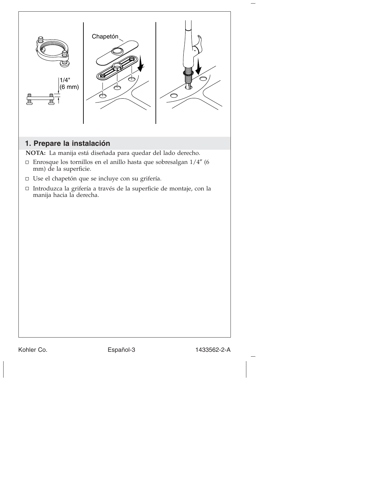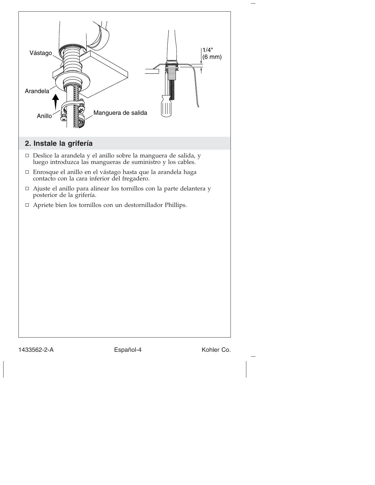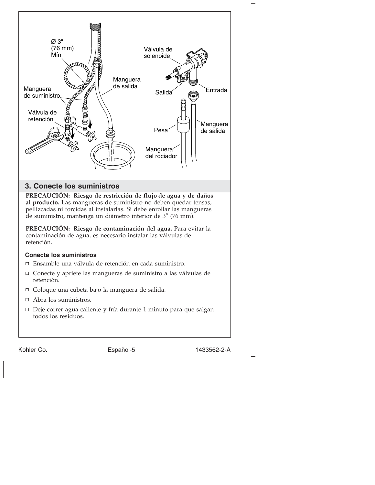

#### **3. Conecte los suministros**

**PRECAUCIÓN: Riesgo de restricción de flujo de agua y de daños al producto.** Las mangueras de suministro no deben quedar tensas, pellizcadas ni torcidas al instalarlas. Si debe enrollar las mangueras de suministro, mantenga un diámetro interior de 3″ (76 mm).

**PRECAUCIÓN: Riesgo de contaminación del agua.** Para evitar la contaminación de agua, es necesario instalar las válvulas de retención.

#### **Conecte los suministros**

Ensamble una válvula de retención en cada suministro.

- Conecte y apriete las mangueras de suministro a las válvulas de retención.
- Coloque una cubeta bajo la manguera de salida.
- Abra los suministros.
- Deje correr agua caliente y fría durante 1 minuto para que salgan todos los residuos.

Kohler Co. **Español-5** 1433562-2-A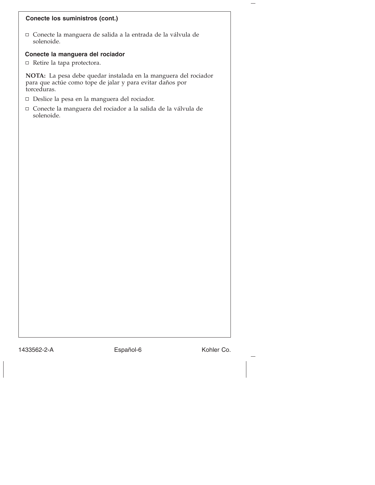#### **Conecte los suministros (cont.)**

Conecte la manguera de salida a la entrada de la válvula de solenoide.

### **Conecte la manguera del rociador**

Retire la tapa protectora.

**NOTA:** La pesa debe quedar instalada en la manguera del rociador para que actúe como tope de jalar y para evitar daños por torceduras.

- Deslice la pesa en la manguera del rociador.
- Conecte la manguera del rociador a la salida de la válvula de solenoide.

1433562-2-A Español-6 Kohler Co.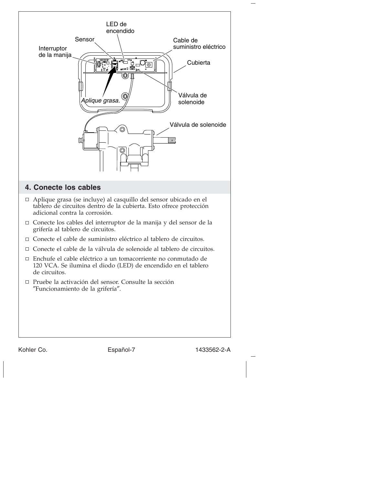

Kohler Co. **Español-7** Español-7 1433562-2-A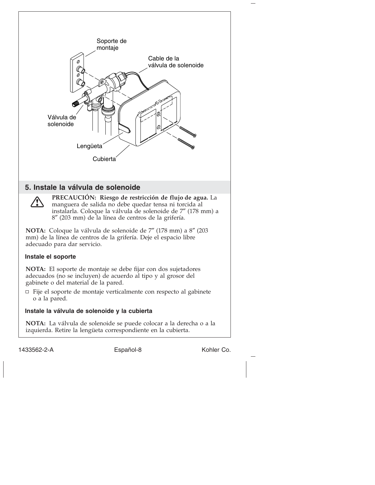

1433562-2-A Español-8 Español-1433562-2-A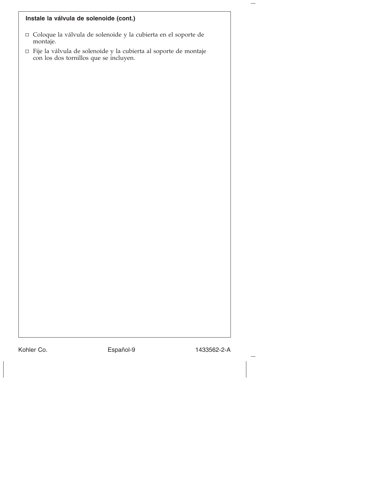## **Instale la válvula de solenoide (cont.)**

- $\hfill\Box$  Coloque la válvula de solenoide y la cubierta en el soporte de montaje.
- $\hfill \Box$ <br> Fije la válvula de solenoide y la cubierta al soporte de montaje con los dos tornillos que se incluyen.

Kohler Co. **Español-9** 1433562-2-A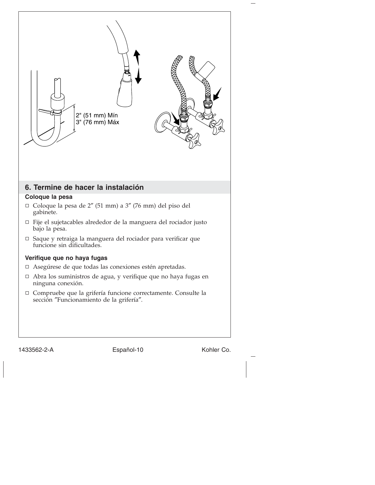

1433562-2-A Español-10 Kohler Co.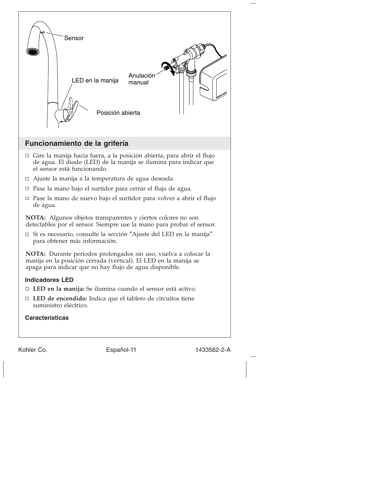

**Características**

Kohler Co. **Español-11** 1433562-2-A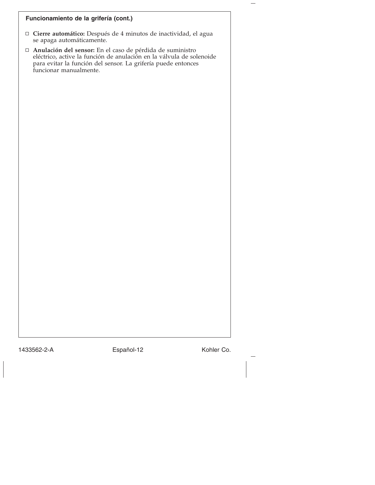#### **Funcionamiento de la grifería (cont.)**

- **Cierre automático:** Después de 4 minutos de inactividad, el agua se apaga automáticamente.
- **Anulación del sensor:** En el caso de pérdida de suministro eléctrico, active la función de anulación en la válvula de solenoide para evitar la función del sensor. La grifería puede entonces funcionar manualmente.

1433562-2-A Español-12 Kohler Co.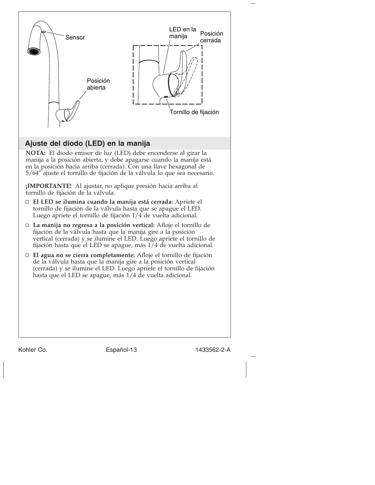

## **Ajuste del diodo (LED) en la manija**

**NOTA:** El diodo emisor de luz (LED) debe encenderse al girar la manija a la posición abierta, y debe apagarse cuando la manija está en la posición hacia arriba (cerrada). Con una llave hexagonal de 5/64″ ajuste el tornillo de fijación de la válvula lo que sea necesario.

**¡IMPORTANTE!** Al ajustar, no aplique presión hacia arriba al tornillo de fijación de la válvula.

- **El LED se ilumina cuando la manija está cerrada:** Apriete el tornillo de fijación de la válvula hasta que se apague el LED. Luego apriete el tornillo de fijación 1/4 de vuelta adicional.
- **La manija no regresa a la posición vertical:** Afloje el tornillo de fijación de la válvula hasta que la manija gire a la posición vertical (cerrada) y se ilumine el LED. Luego apriete el tornillo de fijación hasta que el LED se apague, más 1/4 de vuelta adicional.
- **El agua no se cierra completamente:** Afloje el tornillo de fijación de la válvula hasta que la manija gire a la posición vertical (cerrada) y se ilumine el LED. Luego apriete el tornillo de fijación hasta que el LED se apague, más 1/4 de vuelta adicional.

Kohler Co. Español-13 1433562-2-A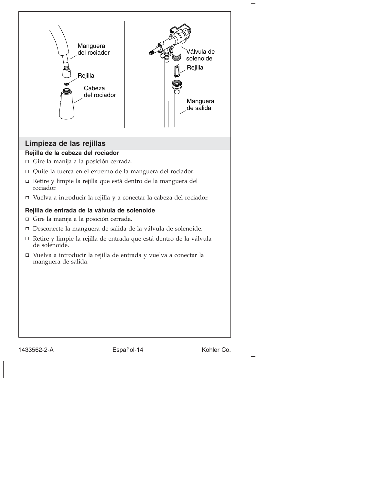

#### **Rejilla de entrada de la válvula de solenoide**

Gire la manija a la posición cerrada.

- Desconecte la manguera de salida de la válvula de solenoide.
- Retire y limpie la rejilla de entrada que está dentro de la válvula de solenoide.
- Vuelva a introducir la rejilla de entrada y vuelva a conectar la manguera de salida.

1433562-2-A Español-14 Kohler Co.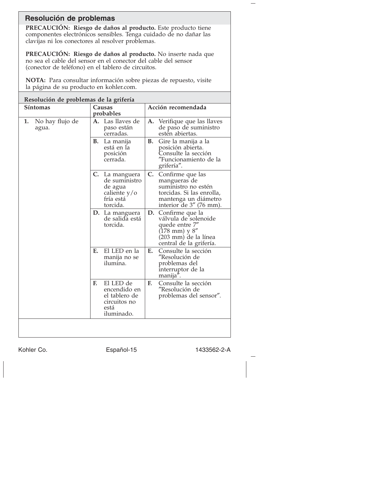## **Resolución de problemas**

**PRECAUCIÓN: Riesgo de daños al producto.** Este producto tiene componentes electrónicos sensibles. Tenga cuidado de no dañar las clavijas ni los conectores al resolver problemas.

**PRECAUCIÓN: Riesgo de daños al producto.** No inserte nada que no sea el cable del sensor en el conector del cable del sensor (conector de teléfono) en el tablero de circuitos.

**NOTA:** Para consultar información sobre piezas de repuesto, visite la página de su producto en kohler.com.

| Resolución de problemas de la grifería |                                                                                        |                                                                                                                                                      |
|----------------------------------------|----------------------------------------------------------------------------------------|------------------------------------------------------------------------------------------------------------------------------------------------------|
| Síntomas                               | Causas<br>probables                                                                    | Acción recomendada                                                                                                                                   |
| No hay flujo de<br>1.<br>agua.         | A. Las llaves de<br>paso están<br>cerradas.                                            | A. Verifique que las llaves<br>de paso de suministro<br>estén abiertas.                                                                              |
|                                        | В.<br>La manija<br>está en la<br>posición<br>cerrada.                                  | Gire la manija a la<br>В.<br>posición abierta.<br>Consulte la sección<br>"Funcionamiento de la<br>grifería".                                         |
|                                        | C. La manguera<br>de suministro<br>de agua<br>caliente y/o<br>fría está<br>torcida.    | C. Confirme que las<br>mangueras de<br>suministro no estén<br>torcidas. Si las enrolla,<br>mantenga un diámetro<br>interior de 3" (76 mm).           |
|                                        | D. La manguera<br>de salida está<br>torcida.                                           | D. Confirme que la<br>válvula de solenoide<br>quede entre 7"<br>$(178 \text{ mm}) \text{ y } 8''$<br>(203 mm) de la línea<br>central de la grifería. |
|                                        | El LED en la<br>Е.<br>manija no se<br>ilumina.                                         | E.<br>Consulte la sección<br>"Resolución de<br>problemas del<br>interruptor de la<br>manija".                                                        |
|                                        | El LED de<br>E.<br>encendido en<br>el tablero de<br>circuitos no<br>está<br>iluminado. | Consulte la sección<br>F.<br>"Resolución de<br>problemas del sensor".                                                                                |
|                                        |                                                                                        |                                                                                                                                                      |

Kohler Co. **Español-15** 1433562-2-A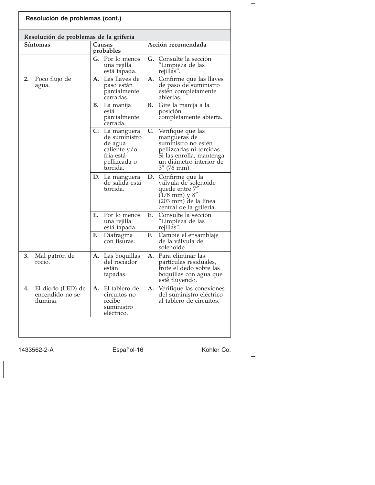|    | Resolución de problemas de la grifería<br>Síntomas |    | Causas                                                                                             |    | Acción recomendada                                                                                                                                            |
|----|----------------------------------------------------|----|----------------------------------------------------------------------------------------------------|----|---------------------------------------------------------------------------------------------------------------------------------------------------------------|
|    |                                                    |    | probables                                                                                          |    |                                                                                                                                                               |
|    |                                                    |    | G. Por lo menos<br>una rejilla<br>está tapada.                                                     | G. | Consulte la sección<br>"Limpieza de las<br>rejillas".                                                                                                         |
| 2. | Poco flujo de<br>agua.                             | A. | Las llaves de<br>paso están<br>parcialmente<br>cerradas.                                           | A. | Confirme que las llaves<br>de paso de suministro<br>estén completamente<br>abiertas.                                                                          |
|    |                                                    | В. | La manija<br>está<br>parcialmente<br>cerrada.                                                      | В. | Gire la manija a la<br>posición<br>completamente abierta.                                                                                                     |
|    |                                                    | C. | La manguera<br>de suministro<br>de agua<br>caliente $y/o$<br>fría está<br>pellizcada o<br>torcida. |    | C. Verifique que las<br>mangueras de<br>suministro no estén<br>pellizcadas ni torcidas.<br>Si las enrolla, mantenga<br>un diámetro interior de<br>3" (76 mm). |
|    |                                                    |    | D. La manguera<br>de salida está<br>torcida.                                                       | D. | Confirme que la<br>válvula de solenoide<br>quede entre 7"<br>$(178 \text{ mm})$ y $8''$<br>(203 mm) de la línea<br>central de la grifería.                    |
|    |                                                    | Е. | Por lo menos<br>una rejilla<br>está tapada.                                                        | E. | Consulte la sección<br>″Limpieza de las<br>rejillas".                                                                                                         |
|    |                                                    | F. | Diafragma<br>con fisuras.                                                                          | F. | Cambie el ensamblaje<br>de la válvula de<br>solenoide.                                                                                                        |
| 3. | Mal patrón de<br>rocio.                            |    | <b>A.</b> Las boquillas<br>del rociador<br>están<br>tapadas.                                       | А. | Para eliminar las<br>partículas residuales,<br>frote el dedo sobre las<br>boquillas con agua que<br>esté fluyendo.                                            |
| 4. | El diodo (LED) de<br>encendido no se<br>ilumina.   | А. | El tablero de<br>circuitos no<br>recibe<br>suministro<br>eléctrico.                                |    | A. Verifique las conexiones<br>del suministro eléctrico<br>al tablero de circuitos.                                                                           |

1433562-2-A Español-16 Kohler Co.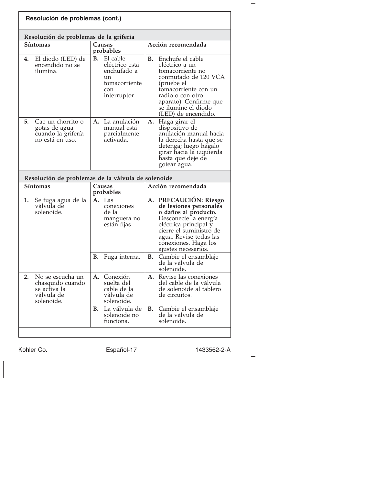|    | Resolución de problemas (cont.)                                                  |           |                                                                                                   |           |                                                                                                                                                                                                                               |
|----|----------------------------------------------------------------------------------|-----------|---------------------------------------------------------------------------------------------------|-----------|-------------------------------------------------------------------------------------------------------------------------------------------------------------------------------------------------------------------------------|
|    | Resolución de problemas de la grifería                                           |           |                                                                                                   |           |                                                                                                                                                                                                                               |
|    | <b>Síntomas</b>                                                                  |           | Causas<br>probables                                                                               |           | Acción recomendada                                                                                                                                                                                                            |
| 4. | El diodo (LED) de<br>encendido no se<br>ilumina.                                 |           | <b>B.</b> El cable<br>eléctrico está<br>enchufado a<br>un<br>tomacorriente<br>con<br>interruptor. | В.        | Enchufe el cable<br>eléctrico a un<br>tomacorriente no<br>conmutado de 120 VCA<br>(pruebe el<br>tomacorriente con un<br>radio o con otro<br>aparato). Confirme que<br>se ilumine el diodo<br>(LED) de encendido.              |
| 5. | Cae un chorrito o<br>gotas de agua<br>cuando la grifería<br>no está en uso.      |           | A. La anulación<br>manual está<br>parcialmente<br>activada.                                       |           | A. Haga girar el<br>dispositivo de<br>anulación manual hacia<br>la derecha hasta que se<br>detenga; luego hágalo<br>girar hacia la izquierda<br>hasta que deje de                                                             |
|    |                                                                                  |           |                                                                                                   |           | gotear agua.                                                                                                                                                                                                                  |
|    |                                                                                  |           |                                                                                                   |           |                                                                                                                                                                                                                               |
|    | Resolución de problemas de la válvula de solenoide<br><b>Síntomas</b>            |           | Causas<br>probables                                                                               |           | Acción recomendada                                                                                                                                                                                                            |
| 1. | Se fuga agua de la<br>válvula de<br>solenoide.                                   | А.        | Las<br>conexiones<br>de la<br>manguera no<br>están fijas.                                         |           | A. PRECAUCIÓN: Riesgo<br>de lesiones personales<br>o daños al producto.<br>Desconecte la energía<br>eléctrica principal y<br>cierre el suministro de<br>agua. Revise todas las<br>conexiones. Haga los<br>ajustes necesarios. |
|    |                                                                                  | <b>B.</b> | Fuga interna.                                                                                     | <b>B.</b> | Cambie el ensamblaje<br>de la válvula de<br>solenoide.                                                                                                                                                                        |
| 2. | No se escucha un<br>chasquido cuando<br>se activa la<br>válvula de<br>solenoide. |           | A. Conexión<br>suelta del<br>cable de la<br>válvula de<br>solenoide.                              | А.        | Revise las conexiones<br>del cable de la válvula<br>de solenoide al tablero<br>de circuitos.                                                                                                                                  |

Kohler Co. Español-17 1433562-2-A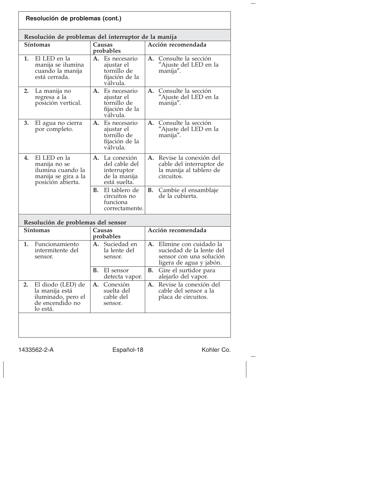| Resolución de problemas (cont.)                                                                     |                                                                                   |                                                                                                                |
|-----------------------------------------------------------------------------------------------------|-----------------------------------------------------------------------------------|----------------------------------------------------------------------------------------------------------------|
| Resolución de problemas del interruptor de la manija                                                |                                                                                   |                                                                                                                |
| <b>Síntomas</b>                                                                                     | Causas<br>probables                                                               | Acción recomendada                                                                                             |
| El LED en la<br>1.<br>manija se ilumina<br>cuando la manija<br>está cerrada.                        | A.<br>Es necesario<br>ajustar el<br>tornillo de<br>fijación de la<br>válvula.     | Consulte la sección<br>A.<br>"Ajuste del LED en la<br>manija".                                                 |
| 2.<br>La manija no<br>regresa a la<br>posición vertical.                                            | A. Es necesario<br>ajustar el<br>tornillo de<br>fijación de la<br>válvula.        | Consulte la sección<br>А.<br>"Ajuste del LED en la<br>manija".                                                 |
| 3.<br>El agua no cierra<br>por completo.                                                            | A. Es necesario<br>ajustar el<br>tornillo de<br>fijación de la<br>válvula.        | Consulte la sección<br>А.<br>"Ajuste del LED en la<br>manija".                                                 |
| El LED en la<br>4.<br>manija no se<br>ilumina cuando la<br>manija se gira a la<br>posición abierta. | La conexión<br>А.<br>del cable del<br>interruptor<br>de la manija<br>está suelta. | Revise la conexión del<br>A.<br>cable del interruptor de<br>la manija al tablero de<br>circuitos.              |
|                                                                                                     | В.<br>El tablero de<br>circuitos no<br>funciona<br>correctamente.                 | В.<br>Cambie el ensamblaje<br>de la cubierta.                                                                  |
| Resolución de problemas del sensor                                                                  |                                                                                   |                                                                                                                |
| Síntomas                                                                                            | Causas<br>probables                                                               | Acción recomendada                                                                                             |
| Funcionamiento<br>1.<br>intermitente del<br>sensor.                                                 | A. Suciedad en<br>la lente del<br>sensor.                                         | Elimine con cuidado la<br>A.<br>suciedad de la lente del<br>sensor con una solución<br>ligera de agua y jabón. |
|                                                                                                     | В.<br>El sensor<br>detecta vapor.                                                 | В.<br>Gire el surtidor para<br>alejarlo del vapor.                                                             |
| El diodo (LED) de<br>2.<br>la manija está<br>iluminado, pero el<br>de encendido no<br>lo está.      | Conexión<br>A.<br>suelta del<br>cable del<br>sensor.                              | Revise la conexión del<br>A.<br>cable del sensor a la<br>placa de circuitos.                                   |
|                                                                                                     |                                                                                   |                                                                                                                |

1433562-2-A Español-18 Kohler Co.

 $\overline{\phantom{a}}$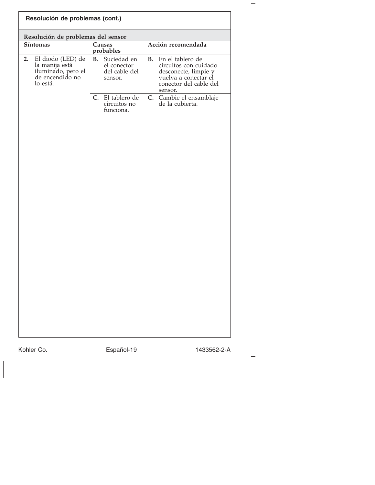| Acción recomendada<br>Causas<br>probables<br>El diodo (LED) de<br><b>B.</b> Suciedad en<br><b>B.</b><br>En el tablero de<br>la manija está<br>el conector<br>iluminado, pero el<br>de encendido no<br>del cable del<br>desconecte, limpie y<br>vuelva a conectar el<br>sensor.<br>lo está.<br>sensor.<br>El tablero de<br>C.<br>de la cubierta.<br>circuitos no<br>funciona. | circuitos con cuidado<br>conector del cable del<br>C. Cambie el ensamblaje | Resolución de problemas del sensor |  |
|------------------------------------------------------------------------------------------------------------------------------------------------------------------------------------------------------------------------------------------------------------------------------------------------------------------------------------------------------------------------------|----------------------------------------------------------------------------|------------------------------------|--|
|                                                                                                                                                                                                                                                                                                                                                                              |                                                                            | Síntomas                           |  |
|                                                                                                                                                                                                                                                                                                                                                                              |                                                                            | 2.                                 |  |
|                                                                                                                                                                                                                                                                                                                                                                              |                                                                            |                                    |  |
|                                                                                                                                                                                                                                                                                                                                                                              |                                                                            |                                    |  |
|                                                                                                                                                                                                                                                                                                                                                                              |                                                                            |                                    |  |
|                                                                                                                                                                                                                                                                                                                                                                              |                                                                            |                                    |  |

 $\overline{\phantom{a}}$ 

 $\overline{\phantom{a}}$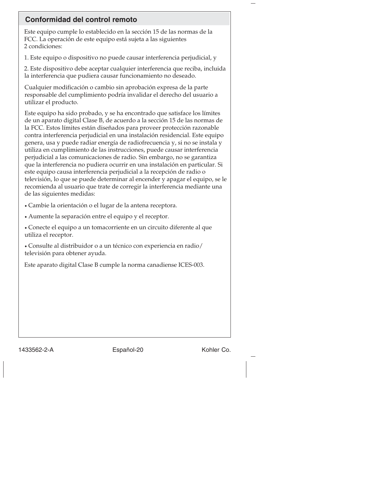## **Conformidad del control remoto**

Este equipo cumple lo establecido en la sección 15 de las normas de la FCC. La operación de este equipo está sujeta a las siguientes 2 condiciones:

1. Este equipo o dispositivo no puede causar interferencia perjudicial, y

2. Este dispositivo debe aceptar cualquier interferencia que reciba, incluida la interferencia que pudiera causar funcionamiento no deseado.

Cualquier modificación o cambio sin aprobación expresa de la parte responsable del cumplimiento podría invalidar el derecho del usuario a utilizar el producto.

Este equipo ha sido probado, y se ha encontrado que satisface los límites de un aparato digital Clase B, de acuerdo a la sección 15 de las normas de la FCC. Estos límites están diseñados para proveer protección razonable contra interferencia perjudicial en una instalación residencial. Este equipo genera, usa y puede radiar energía de radiofrecuencia y, si no se instala y utiliza en cumplimiento de las instrucciones, puede causar interferencia perjudicial a las comunicaciones de radio. Sin embargo, no se garantiza que la interferencia no pudiera ocurrir en una instalación en particular. Si este equipo causa interferencia perjudicial a la recepción de radio o televisión, lo que se puede determinar al encender y apagar el equipo, se le recomienda al usuario que trate de corregir la interferencia mediante una de las siguientes medidas:

• Cambie la orientación o el lugar de la antena receptora.

• Aumente la separación entre el equipo y el receptor.

• Conecte el equipo a un tomacorriente en un circuito diferente al que utiliza el receptor.

• Consulte al distribuidor o a un técnico con experiencia en radio/ televisión para obtener ayuda.

Este aparato digital Clase B cumple la norma canadiense ICES-003.

1433562-2-A Español-20 Kohler Co.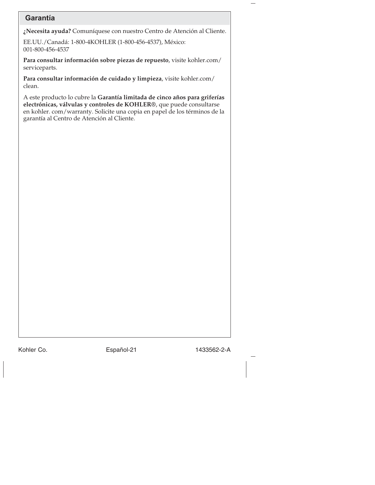## **Garantía**

**¿Necesita ayuda?** Comuníquese con nuestro Centro de Atención al Cliente.

EE.UU./Canadá: 1-800-4KOHLER (1-800-456-4537), México: 001-800-456-4537

**Para consultar información sobre piezas de repuesto**, visite kohler.com/ serviceparts.

**Para consultar información de cuidado y limpieza**, visite kohler.com/ clean.

A este producto lo cubre la **Garantía limitada de cinco años para griferías electrónicas, válvulas y controles de KOHLER®**, que puede consultarse en kohler. com/warranty. Solicite una copia en papel de los términos de la garantía al Centro de Atención al Cliente.

Kohler Co. 6. Español-21 1433562-2-A